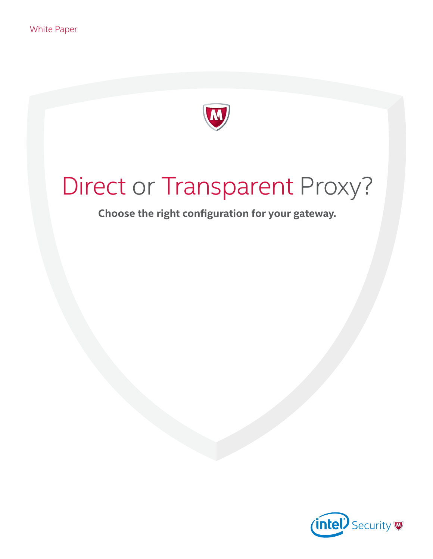

# Direct or Transparent Proxy?

**Choose the right configuration for your gateway.**

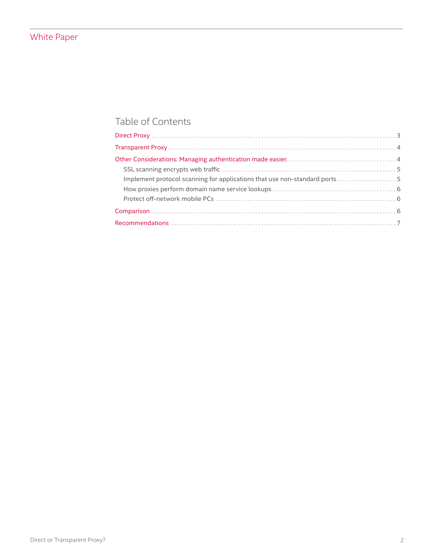# Table of Contents

| Implement protocol scanning for applications that use non-standard ports 5 |  |
|----------------------------------------------------------------------------|--|
|                                                                            |  |
|                                                                            |  |
|                                                                            |  |
|                                                                            |  |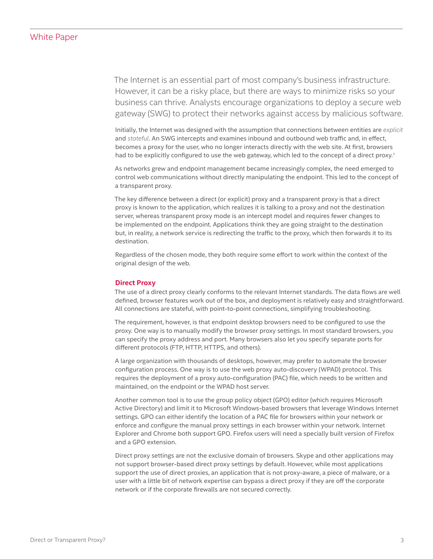<span id="page-2-0"></span>The Internet is an essential part of most company's business infrastructure. However, it can be a risky place, but there are ways to minimize risks so your business can thrive. Analysts encourage organizations to deploy a secure web gateway (SWG) to protect their networks against access by malicious software.

Initially, the Internet was designed with the assumption that connections between entities are *explicit* and *stateful*. An SWG intercepts and examines inbound and outbound web traffic and, in effect, becomes a proxy for the user, who no longer interacts directly with the web site. At first, browsers had to be explicitly configured to use the web gateway, which led to the concept of a direct proxy.<sup>1</sup>

As networks grew and endpoint management became increasingly complex, the need emerged to control web communications without directly manipulating the endpoint. This led to the concept of a transparent proxy.

The key difference between a direct (or explicit) proxy and a transparent proxy is that a direct proxy is known to the application, which realizes it is talking to a proxy and not the destination server, whereas transparent proxy mode is an intercept model and requires fewer changes to be implemented on the endpoint. Applications think they are going straight to the destination but, in reality, a network service is redirecting the traffic to the proxy, which then forwards it to its destination.

Regardless of the chosen mode, they both require some effort to work within the context of the original design of the web.

#### **Direct Proxy**

The use of a direct proxy clearly conforms to the relevant Internet standards. The data flows are well defined, browser features work out of the box, and deployment is relatively easy and straightforward. All connections are stateful, with point-to-point connections, simplifying troubleshooting.

The requirement, however, is that endpoint desktop browsers need to be configured to use the proxy. One way is to manually modify the browser proxy settings. In most standard browsers, you can specify the proxy address and port. Many browsers also let you specify separate ports for different protocols (FTP, HTTP, HTTPS, and others).

A large organization with thousands of desktops, however, may prefer to automate the browser configuration process. One way is to use the web proxy auto-discovery (WPAD) protocol. This requires the deployment of a proxy auto-configuration (PAC) file, which needs to be written and maintained, on the endpoint or the WPAD host server.

Another common tool is to use the group policy object (GPO) editor (which requires Microsoft Active Directory) and limit it to Microsoft Windows-based browsers that leverage Windows Internet settings. GPO can either identify the location of a PAC file for browsers within your network or enforce and configure the manual proxy settings in each browser within your network. Internet Explorer and Chrome both support GPO. Firefox users will need a specially built version of Firefox and a GPO extension.

Direct proxy settings are not the exclusive domain of browsers. Skype and other applications may not support browser-based direct proxy settings by default. However, while most applications support the use of direct proxies, an application that is not proxy-aware, a piece of malware, or a user with a little bit of network expertise can bypass a direct proxy if they are off the corporate network or if the corporate firewalls are not secured correctly.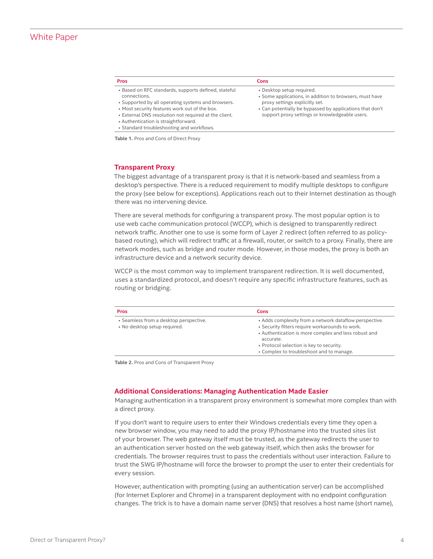#### <span id="page-3-0"></span>**Pros Cons**

- Based on RFC standards, supports defined, stateful connections.
- Supported by all operating systems and browsers.
- Most security features work out of the box.
- External DNS resolution not required at the client.
- Authentication is straightforward.
- Standard troubleshooting and workflows.

**Table 1.** Pros and Cons of Direct Proxy

- Desktop setup required.
- Some applications, in addition to browsers, must have proxy settings explicitly set.
- Can potentially be bypassed by applications that don't support proxy settings or knowledgeable users.

#### **Transparent Proxy**

The biggest advantage of a transparent proxy is that it is network-based and seamless from a desktop's perspective. There is a reduced requirement to modify multiple desktops to configure the proxy (see below for exceptions). Applications reach out to their Internet destination as though there was no intervening device.

There are several methods for configuring a transparent proxy. The most popular option is to use web cache communication protocol (WCCP), which is designed to transparently redirect network traffic. Another one to use is some form of Layer 2 redirect (often referred to as policybased routing), which will redirect traffic at a firewall, router, or switch to a proxy. Finally, there are network modes, such as bridge and router mode. However, in those modes, the proxy is both an infrastructure device and a network security device.

WCCP is the most common way to implement transparent redirection. It is well documented, uses a standardized protocol, and doesn't require any specific infrastructure features, such as routing or bridging.

| Pros                                                                   | Cons                                                                                                                                                                                                                                                                   |
|------------------------------------------------------------------------|------------------------------------------------------------------------------------------------------------------------------------------------------------------------------------------------------------------------------------------------------------------------|
| • Seamless from a desktop perspective.<br>• No desktop setup required. | • Adds complexity from a network dataflow perspective.<br>• Security filters require workarounds to work.<br>• Authentication is more complex and less robust and<br>accurate.<br>• Protocol selection is key to security.<br>• Complex to troubleshoot and to manage. |

**Table 2.** Pros and Cons of Transparent Proxy

#### **Additional Considerations: Managing Authentication Made Easier**

Managing authentication in a transparent proxy environment is somewhat more complex than with a direct proxy.

If you don't want to require users to enter their Windows credentials every time they open a new browser window, you may need to add the proxy IP/hostname into the trusted sites list of your browser. The web gateway itself must be trusted, as the gateway redirects the user to an authentication server hosted on the web gateway itself, which then asks the browser for credentials. The browser requires trust to pass the credentials without user interaction. Failure to trust the SWG IP/hostname will force the browser to prompt the user to enter their credentials for every session.

However, authentication with prompting (using an authentication server) can be accomplished (for Internet Explorer and Chrome) in a transparent deployment with no endpoint configuration changes. The trick is to have a domain name server (DNS) that resolves a host name (short name),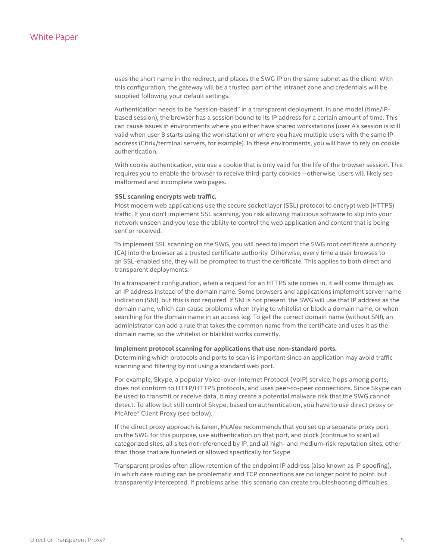<span id="page-4-0"></span>uses the short name in the redirect, and places the SWG IP on the same subnet as the client. With this configuration, the gateway will be a trusted part of the Intranet zone and credentials will be supplied following your default settings.

Authentication needs to be "session-based" in a transparent deployment. In one model (time/IPbased session), the browser has a session bound to its IP address for a certain amount of time. This can cause issues in environments where you either have shared workstations (user A's session is still valid when user B starts using the workstation) or where you have multiple users with the same IP address (Citrix/terminal servers, for example). In these environments, you will have to rely on cookie authentication.

With cookie authentication, you use a cookie that is only valid for the life of the browser session. This requires you to enable the browser to receive third-party cookies—otherwise, users will likely see malformed and incomplete web pages.

#### **SSL scanning encrypts web traffic.**

Most modern web applications use the secure socket layer (SSL) protocol to encrypt web (HTTPS) traffic. If you don't implement SSL scanning, you risk allowing malicious software to slip into your network unseen and you lose the ability to control the web application and content that is being sent or received.

To implement SSL scanning on the SWG, you will need to import the SWG root certificate authority (CA) into the browser as a trusted certificate authority. Otherwise, every time a user browses to an SSL-enabled site, they will be prompted to trust the certificate. This applies to both direct and transparent deployments.

In a transparent configuration, when a request for an HTTPS site comes in, it will come through as an IP address instead of the domain name. Some browsers and applications implement server name indication (SNI), but this is not required. If SNI is not present, the SWG will use that IP address as the domain name, which can cause problems when trying to whitelist or block a domain name, or when searching for the domain name in an access log. To get the correct domain name (without SNI), an administrator can add a rule that takes the common name from the certificate and uses it as the domain name, so the whitelist or blacklist works correctly.

#### **Implement protocol scanning for applications that use non-standard ports.**

Determining which protocols and ports to scan is important since an application may avoid traffic scanning and filtering by not using a standard web port.

For example, Skype, a popular Voice-over-Internet Protocol (VoIP) service, hops among ports, does not conform to HTTP/HTTPS protocols, and uses peer-to-peer connections. Since Skype can be used to transmit or receive data, it may create a potential malware risk that the SWG cannot detect. To allow but still control Skype, based on authentication, you have to use direct proxy or McAfee® Client Proxy (see below).

If the direct proxy approach is taken, McAfee recommends that you set up a separate proxy port on the SWG for this purpose, use authentication on that port, and block (continue to scan) all categorized sites, all sites not referenced by IP, and all high- and medium-risk reputation sites, other than those that are tunneled or allowed specifically for Skype.

Transparent proxies often allow retention of the endpoint IP address (also known as IP spoofing), in which case routing can be problematic and TCP connections are no longer point to point, but transparently intercepted. If problems arise, this scenario can create troubleshooting difficulties.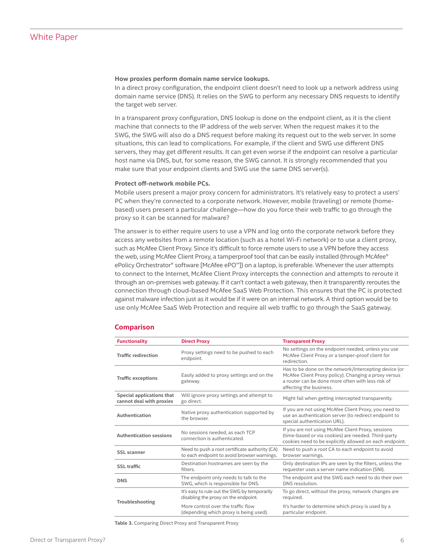#### <span id="page-5-0"></span>**How proxies perform domain name service lookups.**

In a direct proxy configuration, the endpoint client doesn't need to look up a network address using domain name service (DNS). It relies on the SWG to perform any necessary DNS requests to identify the target web server.

In a transparent proxy configuration, DNS lookup is done on the endpoint client, as it is the client machine that connects to the IP address of the web server. When the request makes it to the SWG, the SWG will also do a DNS request before making its request out to the web server. In some situations, this can lead to complications. For example, if the client and SWG use different DNS servers, they may get different results. It can get even worse if the endpoint can resolve a particular host name via DNS, but, for some reason, the SWG cannot. It is strongly recommended that you make sure that your endpoint clients and SWG use the same DNS server(s).

#### **Protect off-network mobile PCs.**

Mobile users present a major proxy concern for administrators. It's relatively easy to protect a users' PC when they're connected to a corporate network. However, mobile (traveling) or remote (homebased) users present a particular challenge—how do you force their web traffic to go through the proxy so it can be scanned for malware?

The answer is to either require users to use a VPN and log onto the corporate network before they access any websites from a remote location (such as a hotel Wi-Fi network) or to use a client proxy, such as McAfee Client Proxy. Since it's difficult to force remote users to use a VPN before they access the web, using McAfee Client Proxy, a tamperproof tool that can be easily installed (through McAfee® ePolicy Orchestrator® software [McAfee ePO™]) on a laptop, is preferable. Whenever the user attempts to connect to the Internet, McAfee Client Proxy intercepts the connection and attempts to reroute it through an on-premises web gateway. If it can't contact a web gateway, then it transparently reroutes the connection through cloud-based McAfee SaaS Web Protection. This ensures that the PC is protected against malware infection just as it would be if it were on an internal network. A third option would be to use only McAfee SaaS Web Protection and require all web traffic to go through the SaaS gateway.

#### **Comparison**

| <b>Functionality</b>                                  | <b>Direct Proxy</b>                                                                           | <b>Transparent Proxy</b>                                                                                                                                                                      |
|-------------------------------------------------------|-----------------------------------------------------------------------------------------------|-----------------------------------------------------------------------------------------------------------------------------------------------------------------------------------------------|
| <b>Traffic redirection</b>                            | Proxy settings need to be pushed to each<br>endpoint.                                         | No settings on the endpoint needed, unless you use<br>McAfee Client Proxy or a tamper-proof client for<br>redirection.                                                                        |
| <b>Traffic exceptions</b>                             | Easily added to proxy settings and on the<br>gateway.                                         | Has to be done on the network/intercepting device (or<br>McAfee Client Proxy policy). Changing a proxy versus<br>a router can be done more often with less risk of<br>affecting the business. |
| Special applications that<br>cannot deal with proxies | Will ignore proxy settings and attempt to<br>go direct.                                       | Might fail when getting intercepted transparently.                                                                                                                                            |
| Authentication                                        | Native proxy authentication supported by<br>the browser.                                      | If you are not using McAfee Client Proxy, you need to<br>use an authentication server (to redirect endpoint to<br>special authentication URL).                                                |
| <b>Authentication sessions</b>                        | No sessions needed, as each TCP<br>connection is authenticated.                               | If you are not using McAfee Client Proxy, sessions<br>(time-based or via cookies) are needed. Third-party<br>cookies need to be explicitly allowed on each endpoint.                          |
| <b>SSL</b> scanner                                    | Need to push a root certificate authority (CA)<br>to each endpoint to avoid browser warnings. | Need to push a root CA to each endpoint to avoid<br>browser warnings.                                                                                                                         |
| <b>SSL traffic</b>                                    | Destination hostnames are seen by the<br>filters.                                             | Only destination IPs are seen by the filters, unless the<br>requester uses a server name indication (SNI).                                                                                    |
| <b>DNS</b>                                            | The endpoint only needs to talk to the<br>SWG, which is responsible for DNS.                  | The endpoint and the SWG each need to do their own<br>DNS resolution.                                                                                                                         |
| Troubleshooting                                       | It's easy to rule out the SWG by temporarily<br>disabling the proxy on the endpoint.          | To go direct, without the proxy, network changes are<br>required.                                                                                                                             |
|                                                       | More control over the traffic flow<br>(depending which proxy is being used).                  | It's harder to determine which proxy is used by a<br>particular endpoint.                                                                                                                     |

**Table 3.** Comparing Direct Proxy and Transparent Proxy